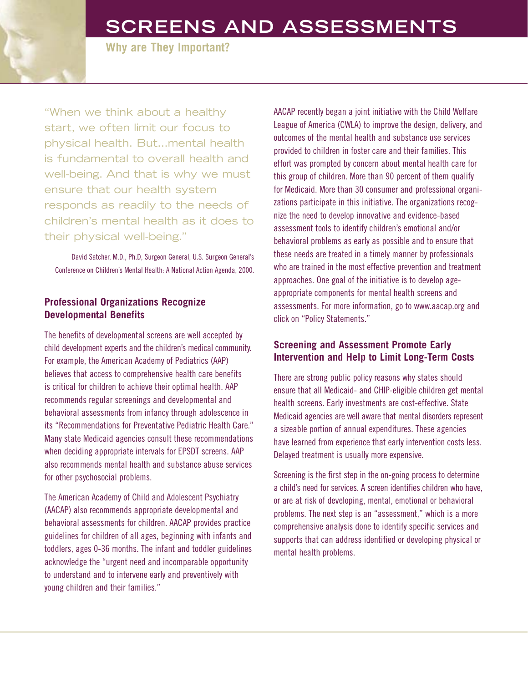# **SCREENS AND ASSESSMENTS**

**Why are They Important?**

"When we think about a healthy start, we often limit our focus to physical health. But…mental health is fundamental to overall health and well-being. And that is why we must ensure that our health system responds as readily to the needs of children's mental health as it does to their physical well-being."

David Satcher, M.D., Ph.D, Surgeon General, U.S. Surgeon General's Conference on Children's Mental Health: A National Action Agenda, 2000.

# **Professional Organizations Recognize Developmental Benefits**

The benefits of developmental screens are well accepted by child development experts and the children's medical community. For example, the American Academy of Pediatrics (AAP) believes that access to comprehensive health care benefits is critical for children to achieve their optimal health. AAP recommends regular screenings and developmental and behavioral assessments from infancy through adolescence in its "Recommendations for Preventative Pediatric Health Care." Many state Medicaid agencies consult these recommendations when deciding appropriate intervals for EPSDT screens. AAP also recommends mental health and substance abuse services for other psychosocial problems.

The American Academy of Child and Adolescent Psychiatry (AACAP) also recommends appropriate developmental and behavioral assessments for children. AACAP provides practice guidelines for children of all ages, beginning with infants and toddlers, ages 0-36 months. The infant and toddler guidelines acknowledge the "urgent need and incomparable opportunity to understand and to intervene early and preventively with young children and their families."

AACAP recently began a joint initiative with the Child Welfare League of America (CWLA) to improve the design, delivery, and outcomes of the mental health and substance use services provided to children in foster care and their families. This effort was prompted by concern about mental health care for this group of children. More than 90 percent of them qualify for Medicaid. More than 30 consumer and professional organizations participate in this initiative. The organizations recognize the need to develop innovative and evidence-based assessment tools to identify children's emotional and/or behavioral problems as early as possible and to ensure that these needs are treated in a timely manner by professionals who are trained in the most effective prevention and treatment approaches. One goal of the initiative is to develop ageappropriate components for mental health screens and assessments. For more information, go to www.aacap.org and click on "Policy Statements."

### **Screening and Assessment Promote Early Intervention and Help to Limit Long-Term Costs**

There are strong public policy reasons why states should ensure that all Medicaid- and CHIP-eligible children get mental health screens. Early investments are cost-effective. State Medicaid agencies are well aware that mental disorders represent a sizeable portion of annual expenditures. These agencies have learned from experience that early intervention costs less. Delayed treatment is usually more expensive.

Screening is the first step in the on-going process to determine a child's need for services. A screen identifies children who have, or are at risk of developing, mental, emotional or behavioral problems. The next step is an "assessment," which is a more comprehensive analysis done to identify specific services and supports that can address identified or developing physical or mental health problems.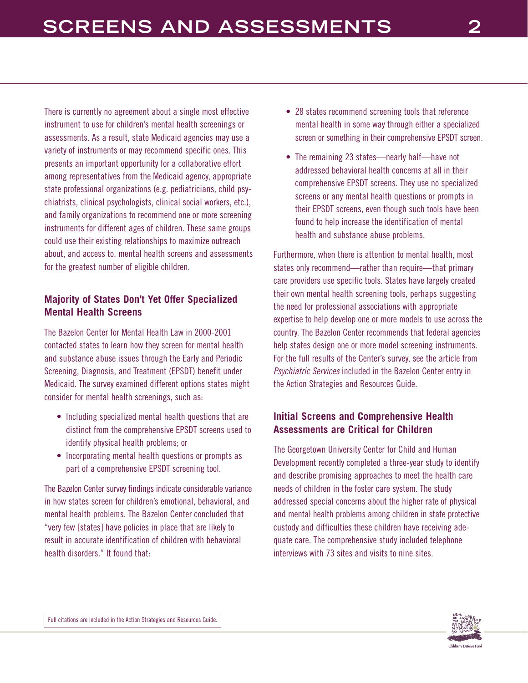There is currently no agreement about a single most effective instrument to use for children's mental health screenings or assessments. As a result, state Medicaid agencies may use a variety of instruments or may recommend specific ones. This presents an important opportunity for a collaborative effort among representatives from the Medicaid agency, appropriate state professional organizations (e.g. pediatricians, child psychiatrists, clinical psychologists, clinical social workers, etc.), and family organizations to recommend one or more screening instruments for different ages of children. These same groups could use their existing relationships to maximize outreach about, and access to, mental health screens and assessments for the greatest number of eligible children.

# **Majority of States Don't Yet Offer Specialized Mental Health Screens**

The Bazelon Center for Mental Health Law in 2000-2001 contacted states to learn how they screen for mental health and substance abuse issues through the Early and Periodic Screening, Diagnosis, and Treatment (EPSDT) benefit under Medicaid. The survey examined different options states might consider for mental health screenings, such as:

- Including specialized mental health questions that are distinct from the comprehensive EPSDT screens used to identify physical health problems; or
- Incorporating mental health questions or prompts as part of a comprehensive EPSDT screening tool.

The Bazelon Center survey findings indicate considerable variance in how states screen for children's emotional, behavioral, and mental health problems. The Bazelon Center concluded that "very few [states] have policies in place that are likely to result in accurate identification of children with behavioral health disorders." It found that:

- 28 states recommend screening tools that reference mental health in some way through either a specialized screen or something in their comprehensive EPSDT screen.
- The remaining 23 states—nearly half—have not addressed behavioral health concerns at all in their comprehensive EPSDT screens. They use no specialized screens or any mental health questions or prompts in their EPSDT screens, even though such tools have been found to help increase the identification of mental health and substance abuse problems.

Furthermore, when there is attention to mental health, most states only recommend—rather than require—that primary care providers use specific tools. States have largely created their own mental health screening tools, perhaps suggesting the need for professional associations with appropriate expertise to help develop one or more models to use across the country. The Bazelon Center recommends that federal agencies help states design one or more model screening instruments. For the full results of the Center's survey, see the article from Psychiatric Services included in the Bazelon Center entry in the Action Strategies and Resources Guide.

# **Initial Screens and Comprehensive Health Assessments are Critical for Children**

The Georgetown University Center for Child and Human Development recently completed a three-year study to identify and describe promising approaches to meet the health care needs of children in the foster care system. The study addressed special concerns about the higher rate of physical and mental health problems among children in state protective custody and difficulties these children have receiving adequate care. The comprehensive study included telephone interviews with 73 sites and visits to nine sites.